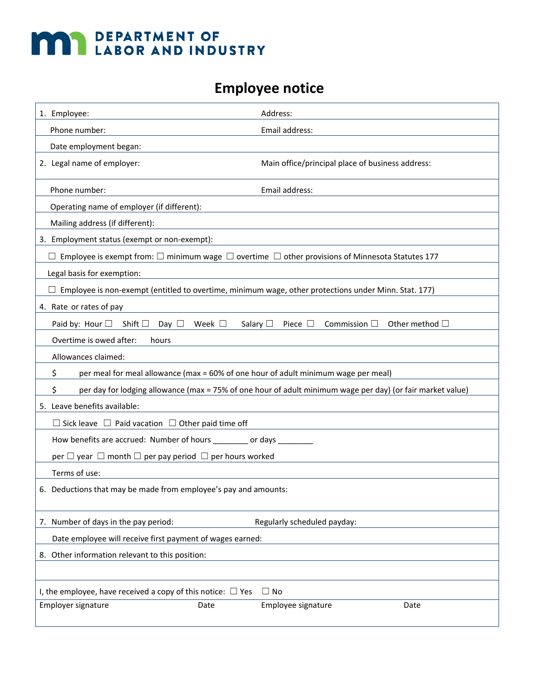## **MAY DEPARTMENT OF LABOR AND INDUSTRY**

## **Employee notice**

| 1. Employee:                                                                                                                                      | Address:                                         |  |
|---------------------------------------------------------------------------------------------------------------------------------------------------|--------------------------------------------------|--|
| Phone number:                                                                                                                                     | Email address:                                   |  |
| Date employment began:                                                                                                                            |                                                  |  |
| 2. Legal name of employer:                                                                                                                        | Main office/principal place of business address: |  |
| Phone number:                                                                                                                                     | Email address:                                   |  |
| Operating name of employer (if different):                                                                                                        |                                                  |  |
| Mailing address (if different):                                                                                                                   |                                                  |  |
| 3. Employment status (exempt or non-exempt):                                                                                                      |                                                  |  |
| Employee is exempt from: $\square$ minimum wage $\square$ overtime $\square$ other provisions of Minnesota Statutes 177                           |                                                  |  |
| Legal basis for exemption:                                                                                                                        |                                                  |  |
| $\Box$ Employee is non-exempt (entitled to overtime, minimum wage, other protections under Minn. Stat. 177)                                       |                                                  |  |
| 4. Rate or rates of pay                                                                                                                           |                                                  |  |
| Paid by: Hour $\square$ Shift $\square$ Day $\square$ Week $\square$<br>Salary $\Box$<br>Commission $\Box$<br>Other method $\Box$<br>Piece $\Box$ |                                                  |  |
| Overtime is owed after:<br>hours                                                                                                                  |                                                  |  |
| Allowances claimed:                                                                                                                               |                                                  |  |
| \$<br>per meal for meal allowance (max = 60% of one hour of adult minimum wage per meal)                                                          |                                                  |  |
| \$<br>per day for lodging allowance (max = 75% of one hour of adult minimum wage per day) (or fair market value)                                  |                                                  |  |
| 5. Leave benefits available:                                                                                                                      |                                                  |  |
| $\Box$ Sick leave $\Box$ Paid vacation $\Box$ Other paid time off                                                                                 |                                                  |  |
| How benefits are accrued: Number of hours _________ or days _________                                                                             |                                                  |  |
| per $\Box$ year $\Box$ month $\Box$ per pay period $\Box$ per hours worked                                                                        |                                                  |  |
| Terms of use:                                                                                                                                     |                                                  |  |
| 6. Deductions that may be made from employee's pay and amounts:                                                                                   |                                                  |  |
| 7. Number of days in the pay period:                                                                                                              | Regularly scheduled payday:                      |  |
| Date employee will receive first payment of wages earned:                                                                                         |                                                  |  |
| 8. Other information relevant to this position:                                                                                                   |                                                  |  |
|                                                                                                                                                   |                                                  |  |
| I, the employee, have received a copy of this notice: $\Box$ Yes<br>$\Box$ No                                                                     |                                                  |  |
| Employer signature<br>Date                                                                                                                        | Employee signature<br>Date                       |  |
|                                                                                                                                                   |                                                  |  |